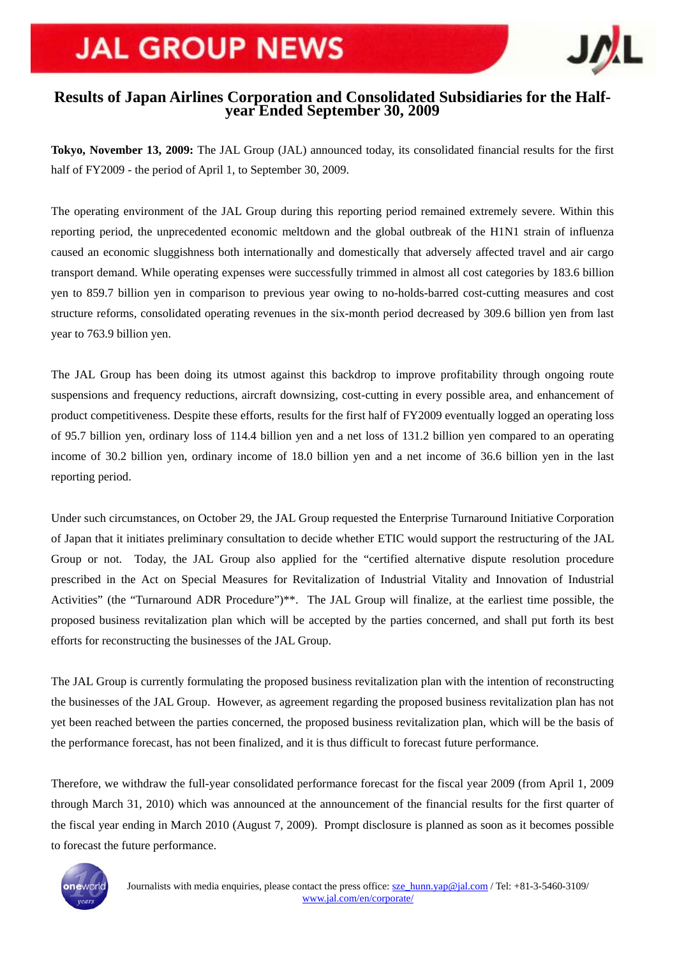# **JAL GROUP NEWS**



### **Results of Japan Airlines Corporation and Consolidated Subsidiaries for the Halfyear Ended September 30, 2009**

**Tokyo, November 13, 2009:** The JAL Group (JAL) announced today, its consolidated financial results for the first half of FY2009 - the period of April 1, to September 30, 2009.

The operating environment of the JAL Group during this reporting period remained extremely severe. Within this reporting period, the unprecedented economic meltdown and the global outbreak of the H1N1 strain of influenza caused an economic sluggishness both internationally and domestically that adversely affected travel and air cargo transport demand. While operating expenses were successfully trimmed in almost all cost categories by 183.6 billion yen to 859.7 billion yen in comparison to previous year owing to no-holds-barred cost-cutting measures and cost structure reforms, consolidated operating revenues in the six-month period decreased by 309.6 billion yen from last year to 763.9 billion yen.

The JAL Group has been doing its utmost against this backdrop to improve profitability through ongoing route suspensions and frequency reductions, aircraft downsizing, cost-cutting in every possible area, and enhancement of product competitiveness. Despite these efforts, results for the first half of FY2009 eventually logged an operating loss of 95.7 billion yen, ordinary loss of 114.4 billion yen and a net loss of 131.2 billion yen compared to an operating income of 30.2 billion yen, ordinary income of 18.0 billion yen and a net income of 36.6 billion yen in the last reporting period.

Under such circumstances, on October 29, the JAL Group requested the Enterprise Turnaround Initiative Corporation of Japan that it initiates preliminary consultation to decide whether ETIC would support the restructuring of the JAL Group or not. Today, the JAL Group also applied for the "certified alternative dispute resolution procedure prescribed in the Act on Special Measures for Revitalization of Industrial Vitality and Innovation of Industrial Activities" (the "Turnaround ADR Procedure")\*\*. The JAL Group will finalize, at the earliest time possible, the proposed business revitalization plan which will be accepted by the parties concerned, and shall put forth its best efforts for reconstructing the businesses of the JAL Group.

The JAL Group is currently formulating the proposed business revitalization plan with the intention of reconstructing the businesses of the JAL Group. However, as agreement regarding the proposed business revitalization plan has not yet been reached between the parties concerned, the proposed business revitalization plan, which will be the basis of the performance forecast, has not been finalized, and it is thus difficult to forecast future performance.

Therefore, we withdraw the full-year consolidated performance forecast for the fiscal year 2009 (from April 1, 2009 through March 31, 2010) which was announced at the announcement of the financial results for the first quarter of the fiscal year ending in March 2010 (August 7, 2009). Prompt disclosure is planned as soon as it becomes possible to forecast the future performance.

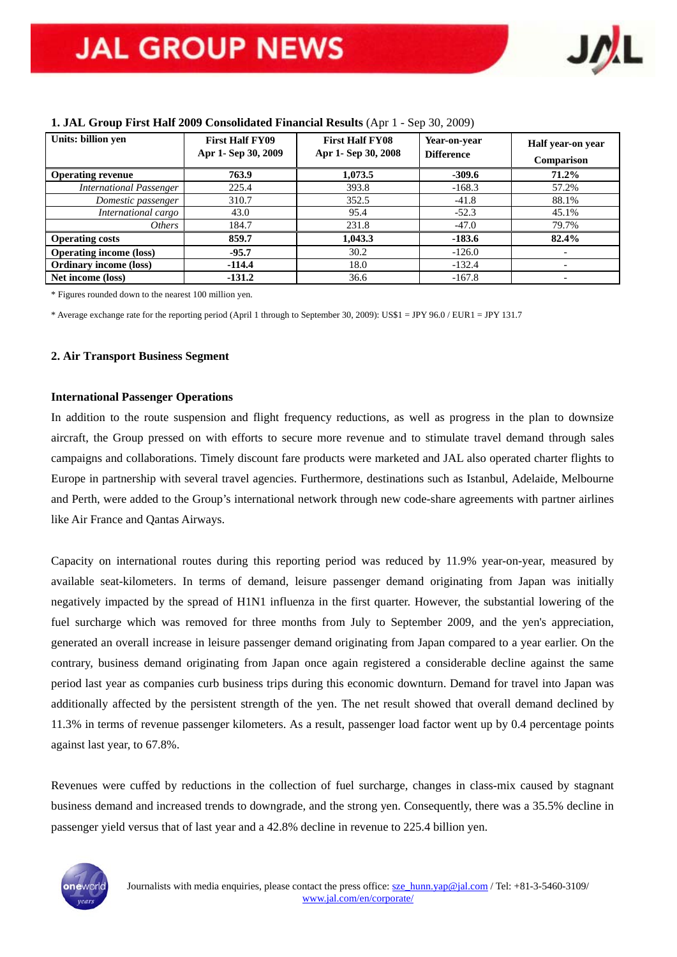

| Units: billion yen             | <b>First Half FY09</b><br>Apr 1- Sep 30, 2009 | <b>First Half FY08</b><br>Apr 1- Sep 30, 2008 | Year-on-year<br><b>Difference</b> | Half year-on year<br>Comparison |
|--------------------------------|-----------------------------------------------|-----------------------------------------------|-----------------------------------|---------------------------------|
| <b>Operating revenue</b>       | 763.9                                         | 1,073.5                                       | $-309.6$                          | $71.2\%$                        |
| <b>International Passenger</b> | 225.4                                         | 393.8                                         | $-168.3$                          | 57.2%                           |
| Domestic passenger             | 310.7                                         | 352.5                                         | $-41.8$                           | 88.1%                           |
| International cargo            | 43.0                                          | 95.4                                          | $-52.3$                           | 45.1%                           |
| <i>Others</i>                  | 184.7                                         | 231.8                                         | $-47.0$                           | 79.7%                           |
| <b>Operating costs</b>         | 859.7                                         | 1,043.3                                       | $-183.6$                          | 82.4%                           |
| <b>Operating income (loss)</b> | $-95.7$                                       | 30.2                                          | $-126.0$                          |                                 |
| <b>Ordinary income (loss)</b>  | $-114.4$                                      | 18.0                                          | $-132.4$                          |                                 |
| Net income (loss)              | $-131.2$                                      | 36.6                                          | $-167.8$                          |                                 |

#### **1. JAL Group First Half 2009 Consolidated Financial Results** (Apr 1 - Sep 30, 2009)

\* Figures rounded down to the nearest 100 million yen.

\* Average exchange rate for the reporting period (April 1 through to September 30, 2009): US\$1 = JPY 96.0 / EUR1 = JPY 131.7

#### **2. Air Transport Business Segment**

#### **International Passenger Operations**

In addition to the route suspension and flight frequency reductions, as well as progress in the plan to downsize aircraft, the Group pressed on with efforts to secure more revenue and to stimulate travel demand through sales campaigns and collaborations. Timely discount fare products were marketed and JAL also operated charter flights to Europe in partnership with several travel agencies. Furthermore, destinations such as Istanbul, Adelaide, Melbourne and Perth, were added to the Group's international network through new code-share agreements with partner airlines like Air France and Qantas Airways.

Capacity on international routes during this reporting period was reduced by 11.9% year-on-year, measured by available seat-kilometers. In terms of demand, leisure passenger demand originating from Japan was initially negatively impacted by the spread of H1N1 influenza in the first quarter. However, the substantial lowering of the fuel surcharge which was removed for three months from July to September 2009, and the yen's appreciation, generated an overall increase in leisure passenger demand originating from Japan compared to a year earlier. On the contrary, business demand originating from Japan once again registered a considerable decline against the same period last year as companies curb business trips during this economic downturn. Demand for travel into Japan was additionally affected by the persistent strength of the yen. The net result showed that overall demand declined by 11.3% in terms of revenue passenger kilometers. As a result, passenger load factor went up by 0.4 percentage points against last year, to 67.8%.

Revenues were cuffed by reductions in the collection of fuel surcharge, changes in class-mix caused by stagnant business demand and increased trends to downgrade, and the strong yen. Consequently, there was a 35.5% decline in passenger yield versus that of last year and a 42.8% decline in revenue to 225.4 billion yen.

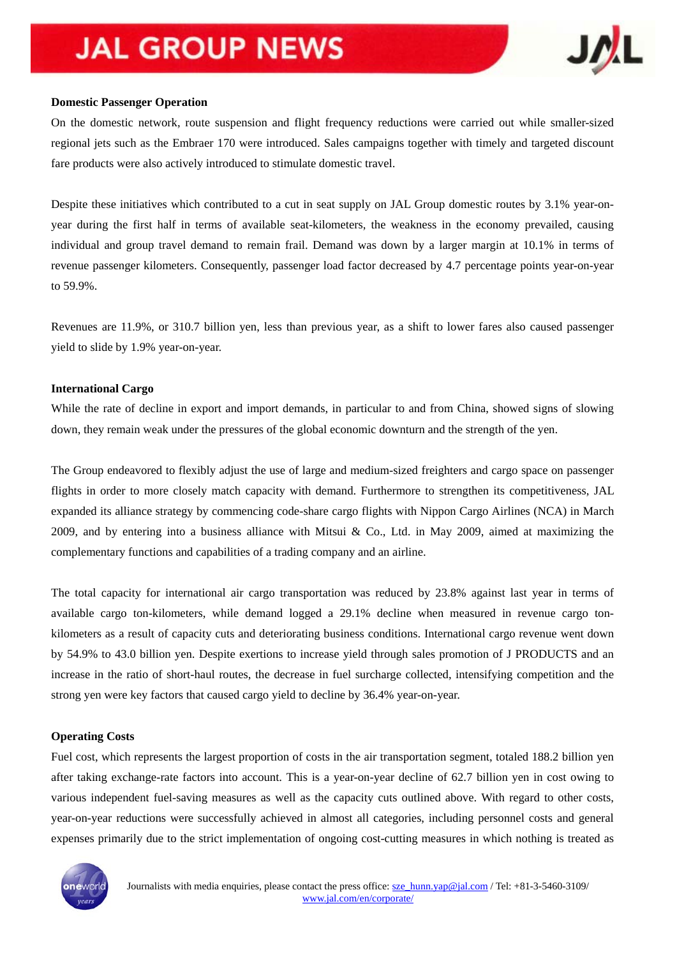# **JAL GROUP NEWS**



#### **Domestic Passenger Operation**

On the domestic network, route suspension and flight frequency reductions were carried out while smaller-sized regional jets such as the Embraer 170 were introduced. Sales campaigns together with timely and targeted discount fare products were also actively introduced to stimulate domestic travel.

Despite these initiatives which contributed to a cut in seat supply on JAL Group domestic routes by 3.1% year-onyear during the first half in terms of available seat-kilometers, the weakness in the economy prevailed, causing individual and group travel demand to remain frail. Demand was down by a larger margin at 10.1% in terms of revenue passenger kilometers. Consequently, passenger load factor decreased by 4.7 percentage points year-on-year to 59.9%.

Revenues are 11.9%, or 310.7 billion yen, less than previous year, as a shift to lower fares also caused passenger yield to slide by 1.9% year-on-year.

#### **International Cargo**

While the rate of decline in export and import demands, in particular to and from China, showed signs of slowing down, they remain weak under the pressures of the global economic downturn and the strength of the yen.

The Group endeavored to flexibly adjust the use of large and medium-sized freighters and cargo space on passenger flights in order to more closely match capacity with demand. Furthermore to strengthen its competitiveness, JAL expanded its alliance strategy by commencing code-share cargo flights with Nippon Cargo Airlines (NCA) in March 2009, and by entering into a business alliance with Mitsui & Co., Ltd. in May 2009, aimed at maximizing the complementary functions and capabilities of a trading company and an airline.

The total capacity for international air cargo transportation was reduced by 23.8% against last year in terms of available cargo ton-kilometers, while demand logged a 29.1% decline when measured in revenue cargo tonkilometers as a result of capacity cuts and deteriorating business conditions. International cargo revenue went down by 54.9% to 43.0 billion yen. Despite exertions to increase yield through sales promotion of J PRODUCTS and an increase in the ratio of short-haul routes, the decrease in fuel surcharge collected, intensifying competition and the strong yen were key factors that caused cargo yield to decline by 36.4% year-on-year.

#### **Operating Costs**

Fuel cost, which represents the largest proportion of costs in the air transportation segment, totaled 188.2 billion yen after taking exchange-rate factors into account. This is a year-on-year decline of 62.7 billion yen in cost owing to various independent fuel-saving measures as well as the capacity cuts outlined above. With regard to other costs, year-on-year reductions were successfully achieved in almost all categories, including personnel costs and general expenses primarily due to the strict implementation of ongoing cost-cutting measures in which nothing is treated as

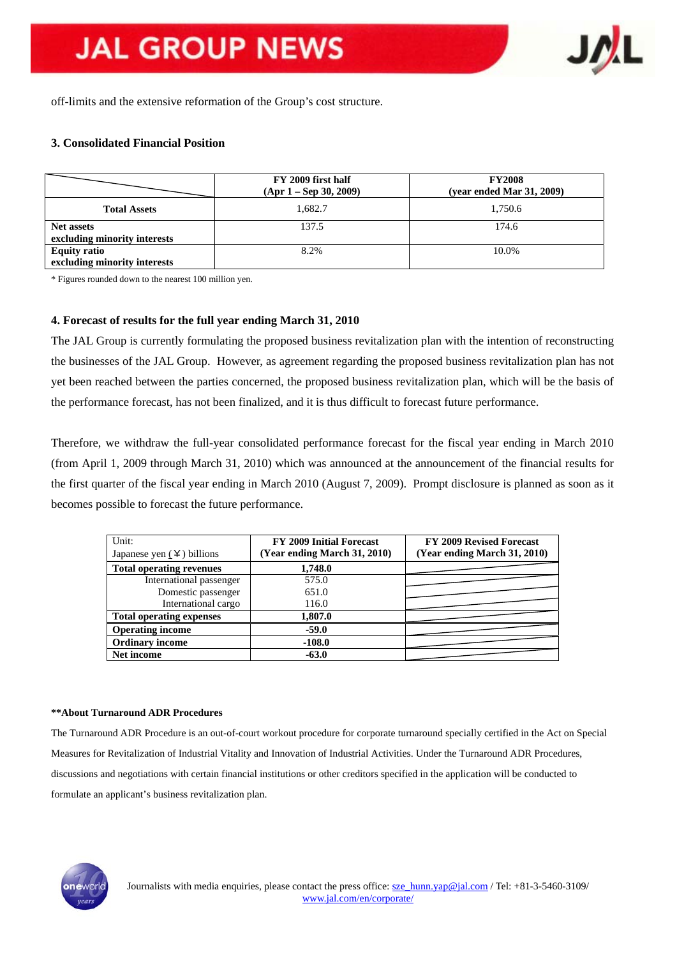

off-limits and the extensive reformation of the Group's cost structure.

#### **3. Consolidated Financial Position**

|                              | FY 2009 first half<br>$(Apr 1 - Sep 30, 2009)$ | <b>FY2008</b><br>(year ended Mar 31, 2009) |
|------------------------------|------------------------------------------------|--------------------------------------------|
| <b>Total Assets</b>          | 1.682.7                                        | 1,750.6                                    |
| <b>Net assets</b>            | 137.5                                          | 174.6                                      |
| excluding minority interests |                                                |                                            |
| <b>Equity ratio</b>          | 8.2%                                           | 10.0%                                      |
| excluding minority interests |                                                |                                            |

\* Figures rounded down to the nearest 100 million yen.

#### **4. Forecast of results for the full year ending March 31, 2010**

The JAL Group is currently formulating the proposed business revitalization plan with the intention of reconstructing the businesses of the JAL Group. However, as agreement regarding the proposed business revitalization plan has not yet been reached between the parties concerned, the proposed business revitalization plan, which will be the basis of the performance forecast, has not been finalized, and it is thus difficult to forecast future performance.

Therefore, we withdraw the full-year consolidated performance forecast for the fiscal year ending in March 2010 (from April 1, 2009 through March 31, 2010) which was announced at the announcement of the financial results for the first quarter of the fiscal year ending in March 2010 (August 7, 2009). Prompt disclosure is planned as soon as it becomes possible to forecast the future performance.

| Unit:<br>Japanese yen $(4)$ billions | <b>FY 2009 Initial Forecast</b><br>(Year ending March 31, 2010) | FY 2009 Revised Forecast<br>(Year ending March 31, 2010) |
|--------------------------------------|-----------------------------------------------------------------|----------------------------------------------------------|
| <b>Total operating revenues</b>      | 1,748.0                                                         |                                                          |
| International passenger              | 575.0                                                           |                                                          |
| Domestic passenger                   | 651.0                                                           |                                                          |
| International cargo                  | 116.0                                                           |                                                          |
| <b>Total operating expenses</b>      | 1,807.0                                                         |                                                          |
| <b>Operating income</b>              | $-59.0$                                                         |                                                          |
| <b>Ordinary income</b>               | $-108.0$                                                        |                                                          |
| Net income                           | $-63.0$                                                         |                                                          |

#### **\*\*About Turnaround ADR Procedures**

The Turnaround ADR Procedure is an out-of-court workout procedure for corporate turnaround specially certified in the Act on Special Measures for Revitalization of Industrial Vitality and Innovation of Industrial Activities. Under the Turnaround ADR Procedures, discussions and negotiations with certain financial institutions or other creditors specified in the application will be conducted to formulate an applicant's business revitalization plan.

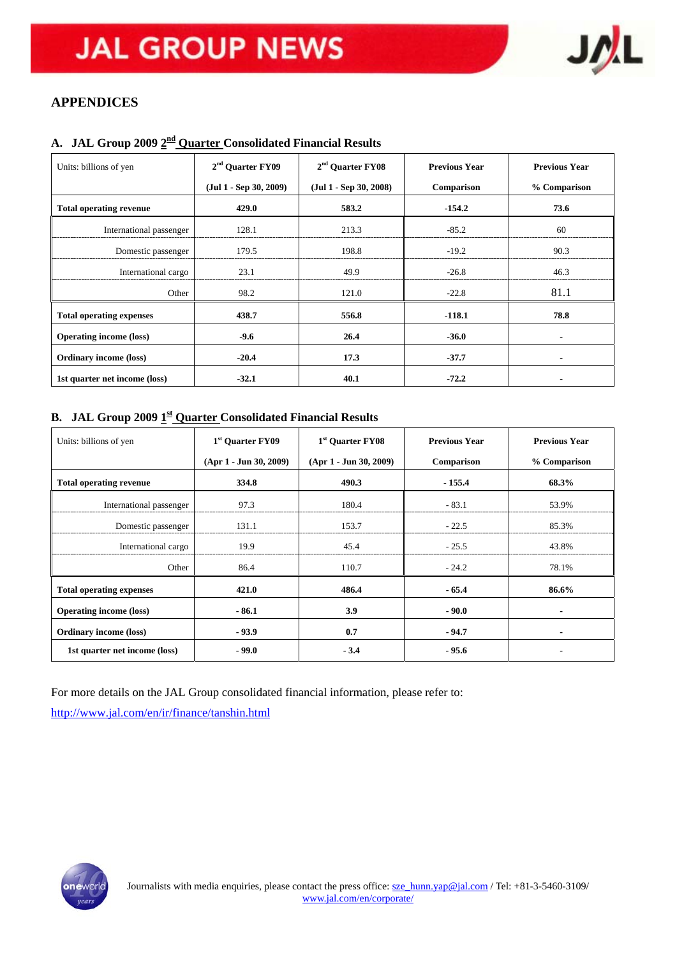

## **APPENDICES**

# **A. JAL Group 2009 2nd Quarter Consolidated Financial Results**

| Units: billions of yen          | 2 <sup>nd</sup> Ouarter FY09 | $2nd$ Ouarter FY08       | <b>Previous Year</b> | <b>Previous Year</b>     |  |
|---------------------------------|------------------------------|--------------------------|----------------------|--------------------------|--|
|                                 | $(Jul 1 - Sep 30, 2009)$     | $(Jul 1 - Sep 30, 2008)$ | Comparison           | % Comparison             |  |
| <b>Total operating revenue</b>  | 429.0                        | 583.2                    | $-154.2$             | 73.6                     |  |
| International passenger         | 128.1                        | 213.3                    | $-85.2$              | 60                       |  |
| Domestic passenger              | 179.5                        | 198.8                    | $-19.2$              | 90.3                     |  |
| International cargo             | 23.1                         | 49.9                     | $-26.8$              | 46.3                     |  |
| Other                           | 98.2                         | 121.0                    | $-22.8$              | 81.1                     |  |
| <b>Total operating expenses</b> | 438.7                        | 556.8                    | $-118.1$             | 78.8                     |  |
| <b>Operating income (loss)</b>  | $-9.6$                       | 26.4                     | $-36.0$              |                          |  |
| <b>Ordinary income (loss)</b>   | $-20.4$                      | 17.3                     | $-37.7$              |                          |  |
| 1st quarter net income (loss)   | $-32.1$                      | 40.1                     | $-72.2$              | $\overline{\phantom{0}}$ |  |

### **B. JAL Group 2009**  $\underline{1}^{\underline{\text{st}}}$  **Quarter Consolidated Financial Results**

| Units: billions of yen          | 1 <sup>st</sup> Quarter FY09 | 1 <sup>st</sup> Quarter FY08 | <b>Previous Year</b> | <b>Previous Year</b> |  |
|---------------------------------|------------------------------|------------------------------|----------------------|----------------------|--|
|                                 | $(Apr 1 - Jun 30, 2009)$     | $(Apr 1 - Jun 30, 2009)$     | Comparison           | % Comparison         |  |
| <b>Total operating revenue</b>  | 334.8                        | 490.3                        | $-155.4$             | 68.3%                |  |
| International passenger         | 97.3                         | 180.4                        | $-83.1$              | 53.9%                |  |
| Domestic passenger              | 131.1                        | 153.7                        | $-22.5$              | 85.3%                |  |
| International cargo             | 19.9                         | 45.4                         | $-25.5$              | 43.8%                |  |
| Other                           | 86.4                         | 110.7                        | $-24.2$              | 78.1%                |  |
| <b>Total operating expenses</b> | 421.0                        | 486.4                        | $-65.4$              | 86.6%                |  |
| <b>Operating income (loss)</b>  | $-86.1$                      | 3.9                          | $-90.0$              |                      |  |
| <b>Ordinary income (loss)</b>   | $-93.9$                      | 0.7                          | $-94.7$              | $\blacksquare$       |  |
| 1st quarter net income (loss)   | $-99.0$                      | $-3.4$                       | $-95.6$              |                      |  |

For more details on the JAL Group consolidated financial information, please refer to:

<http://www.jal.com/en/ir/finance/tanshin.html>